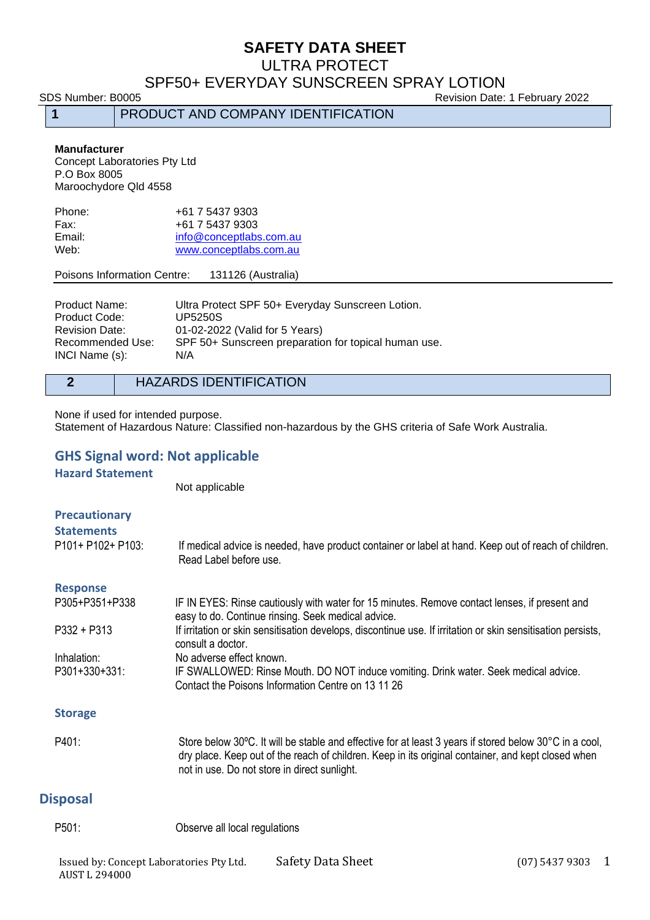#### ULTRA PROTECT

#### SPF50+ EVERYDAY SUNSCREEN SPRAY LOTION

**1** PRODUCT AND COMPANY IDENTIFICATION

SDS Number: B0005 80005 Revision Date: 1 February 2022

#### **Manufacturer**

Concept Laboratories Pty Ltd P.O Box 8005 Maroochydore Qld 4558

| +61 7 5437 9303         |
|-------------------------|
|                         |
| info@conceptlabs.com.au |
| www.conceptlabs.com.au  |
|                         |

#### Poisons Information Centre: 131126 (Australia)

| Ultra Protect SPF 50+ Everyday Sunscreen Lotion.     |
|------------------------------------------------------|
| <b>UP5250S</b>                                       |
| 01-02-2022 (Valid for 5 Years)                       |
| SPF 50+ Sunscreen preparation for topical human use. |
| N/A                                                  |
|                                                      |

#### **2** HAZARDS IDENTIFICATION

None if used for intended purpose. Statement of Hazardous Nature: Classified non-hazardous by the GHS criteria of Safe Work Australia.

#### **GHS Signal word: Not applicable**

**Hazard Statement**

Not applicable

| <b>Precautionary</b><br><b>Statements</b><br>$P101+P102+P103:$ | If medical advice is needed, have product container or label at hand. Keep out of reach of children.<br>Read Label before use.                                                                                                                               |
|----------------------------------------------------------------|--------------------------------------------------------------------------------------------------------------------------------------------------------------------------------------------------------------------------------------------------------------|
| <b>Response</b>                                                |                                                                                                                                                                                                                                                              |
| P305+P351+P338                                                 | IF IN EYES: Rinse cautiously with water for 15 minutes. Remove contact lenses, if present and<br>easy to do. Continue rinsing. Seek medical advice.                                                                                                          |
| $P332 + P313$                                                  | If irritation or skin sensitisation develops, discontinue use. If irritation or skin sensitisation persists,<br>consult a doctor.                                                                                                                            |
| Inhalation:                                                    | No adverse effect known.                                                                                                                                                                                                                                     |
| P301+330+331:                                                  | IF SWALLOWED: Rinse Mouth. DO NOT induce vomiting. Drink water. Seek medical advice.<br>Contact the Poisons Information Centre on 13 11 26                                                                                                                   |
| <b>Storage</b>                                                 |                                                                                                                                                                                                                                                              |
| P401:                                                          | Store below 30°C. It will be stable and effective for at least 3 years if stored below 30°C in a cool,<br>dry place. Keep out of the reach of children. Keep in its original container, and kept closed when<br>not in use. Do not store in direct sunlight. |
| <b>Disposal</b>                                                |                                                                                                                                                                                                                                                              |

P501: Observe all local regulations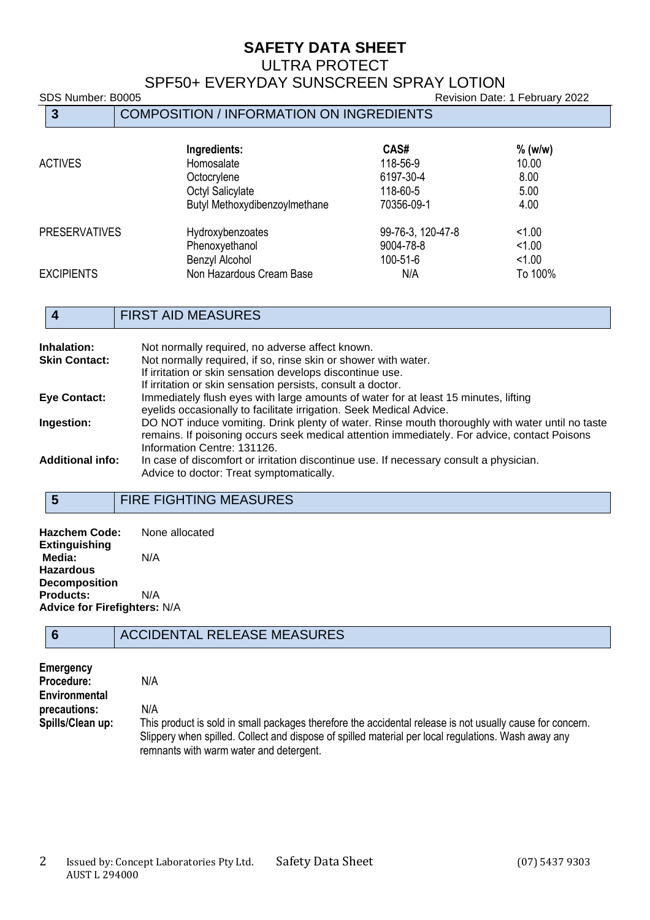#### ULTRA PROTECT

## SPF50+ EVERYDAY SUNSCREEN SPRAY LOTION

# SDS Number: B0005 **Revision Date: 1 February 2022 3** COMPOSITION / INFORMATION ON INGREDIENTS  **Ingredients: CAS#**  $\%$  (w/w)<br>
Homosalate 118-56-9 10.00 ACTIVES Homosalate 118-56-9 10.00 Octocrylene 6197-30-4 8.00<br>Octvl Salicylate 6197-30-4 6197-30-4 8.00 Octyl Salicylate 118-60-5 118-60-5 5.00<br>Butyl Methoxydibenzoylmethane 70356-09-1 4.00 Butyl Methoxydibenzoylmethane PRESERVATIVES Hydroxybenzoates 99-76-3, 120-47-8 <1.00<br>Phenoxyethanol 9004-78-8 <1.00 Phenoxyethanol 9004-78-8 <1.00<br>Benzyl Alcohol 100-51-6 <1.00 Benzyl Alcohol 100-51-6 <1.00

#### **4** FIRST AID MEASURES

EXCIPIENTS Non Hazardous Cream Base N/A

| Inhalation:             | Not normally required, no adverse affect known.                                                 |
|-------------------------|-------------------------------------------------------------------------------------------------|
| <b>Skin Contact:</b>    | Not normally required, if so, rinse skin or shower with water.                                  |
|                         | If irritation or skin sensation develops discontinue use.                                       |
|                         | If irritation or skin sensation persists, consult a doctor.                                     |
| <b>Eye Contact:</b>     | Immediately flush eyes with large amounts of water for at least 15 minutes, lifting             |
|                         | eyelids occasionally to facilitate irrigation. Seek Medical Advice.                             |
| Ingestion:              | DO NOT induce vomiting. Drink plenty of water. Rinse mouth thoroughly with water until no taste |
|                         | remains. If poisoning occurs seek medical attention immediately. For advice, contact Poisons    |
|                         | Information Centre: 131126.                                                                     |
| <b>Additional info:</b> | In case of discomfort or irritation discontinue use. If necessary consult a physician.          |
|                         | Advice to doctor: Treat symptomatically.                                                        |
|                         |                                                                                                 |

#### **5** FIRE FIGHTING MEASURES

| <b>Hazchem Code:</b>                | None allocated |
|-------------------------------------|----------------|
| <b>Extinguishing</b>                |                |
| Media:                              | N/A            |
| <b>Hazardous</b>                    |                |
| <b>Decomposition</b>                |                |
| <b>Products:</b>                    | N/A            |
| <b>Advice for Firefighters: N/A</b> |                |

#### **6** ACCIDENTAL RELEASE MEASURES

| Emergency        |                                                                                                                                                                                                                                                             |
|------------------|-------------------------------------------------------------------------------------------------------------------------------------------------------------------------------------------------------------------------------------------------------------|
|                  |                                                                                                                                                                                                                                                             |
| Procedure:       | N/A                                                                                                                                                                                                                                                         |
| Environmental    |                                                                                                                                                                                                                                                             |
| precautions:     | N/A                                                                                                                                                                                                                                                         |
| Spills/Clean up: | This product is sold in small packages therefore the accidental release is not usually cause for concern.<br>Slippery when spilled. Collect and dispose of spilled material per local regulations. Wash away any<br>remnants with warm water and detergent. |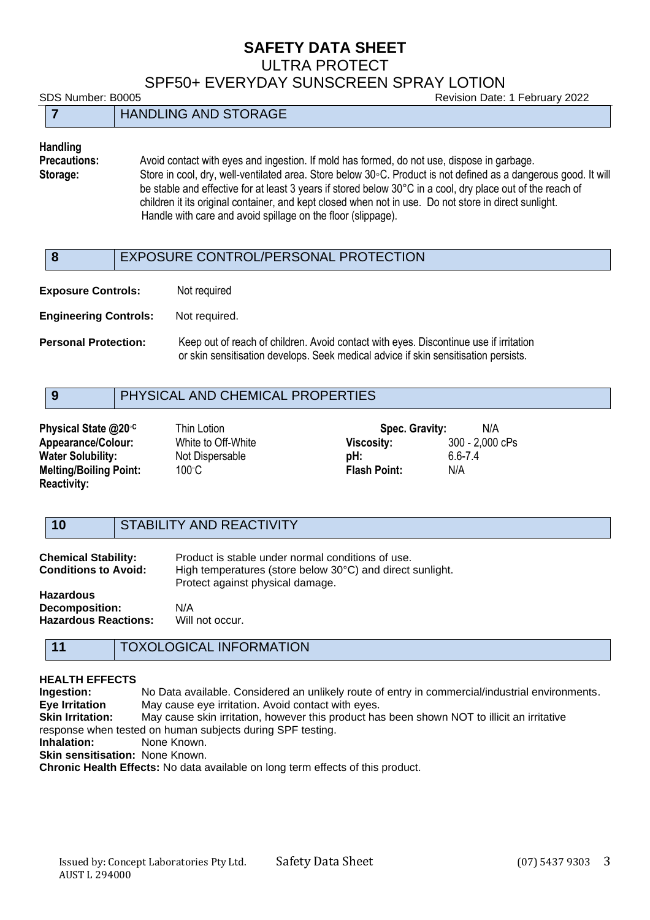#### ULTRA PROTECT

SPF50+ EVERYDAY SUNSCREEN SPRAY LOTION

SDS Number: B0005 Revision Date: 1 February 2022

| ODO INGHIDOI. DOOOO         | <b>INGVISION DATE:</b> THE CONTROL PLOSES |
|-----------------------------|-------------------------------------------|
| <b>HANDLING AND STORAGE</b> |                                           |

# **Handling**

Avoid contact with eyes and ingestion. If mold has formed, do not use, dispose in garbage. **Storage:** Store in cool, dry, well-ventilated area. Store below 30◦C. Product is not defined as a dangerous good. It will be stable and effective for at least 3 years if stored below 30°C in a cool, dry place out of the reach of children it its original container, and kept closed when not in use. Do not store in direct sunlight. Handle with care and avoid spillage on the floor (slippage).

#### **8** EXPOSURE CONTROL/PERSONAL PROTECTION

**Exposure Controls:** Not required

**Engineering Controls:** Not required.

**Personal Protection:** Keep out of reach of children. Avoid contact with eyes. Discontinue use if irritation or skin sensitisation develops. Seek medical advice if skin sensitisation persists.

#### **9** PHYSICAL AND CHEMICAL PROPERTIES

| Physical State @20°C          | Thin Lotion        | Spec. Gravity:      | N/A             |
|-------------------------------|--------------------|---------------------|-----------------|
| <b>Appearance/Colour:</b>     | White to Off-White | Viscosity:          | 300 - 2,000 cPs |
| <b>Water Solubility:</b>      | Not Dispersable    | pH:                 | 6.6-7.4         |
| <b>Melting/Boiling Point:</b> | 100°C.             | <b>Flash Point:</b> | N/A             |
| <b>Reactivity:</b>            |                    |                     |                 |

#### **10** STABILITY AND REACTIVITY

| <b>Chemical Stability:</b><br><b>Conditions to Avoid:</b>         | Product is stable under normal conditions of use.<br>High temperatures (store below 30°C) and direct sunlight.<br>Protect against physical damage. |
|-------------------------------------------------------------------|----------------------------------------------------------------------------------------------------------------------------------------------------|
| Hazardous<br><b>Decomposition:</b><br><b>Hazardous Reactions:</b> | N/A<br>Will not occur.                                                                                                                             |

#### **11** TOXOLOGICAL INFORMATION

#### **HEALTH EFFECTS**

**Ingestion:** No Data available. Considered an unlikely route of entry in commercial/industrial environments. **Eye Irritation** May cause eye irritation. Avoid contact with eyes. **Skin Irritation:** May cause skin irritation, however this product has been shown NOT to illicit an irritative response when tested on human subjects during SPF testing. **Inhalation:** None Known. **Skin sensitisation:** None Known.

**Chronic Health Effects:** No data available on long term effects of this product.